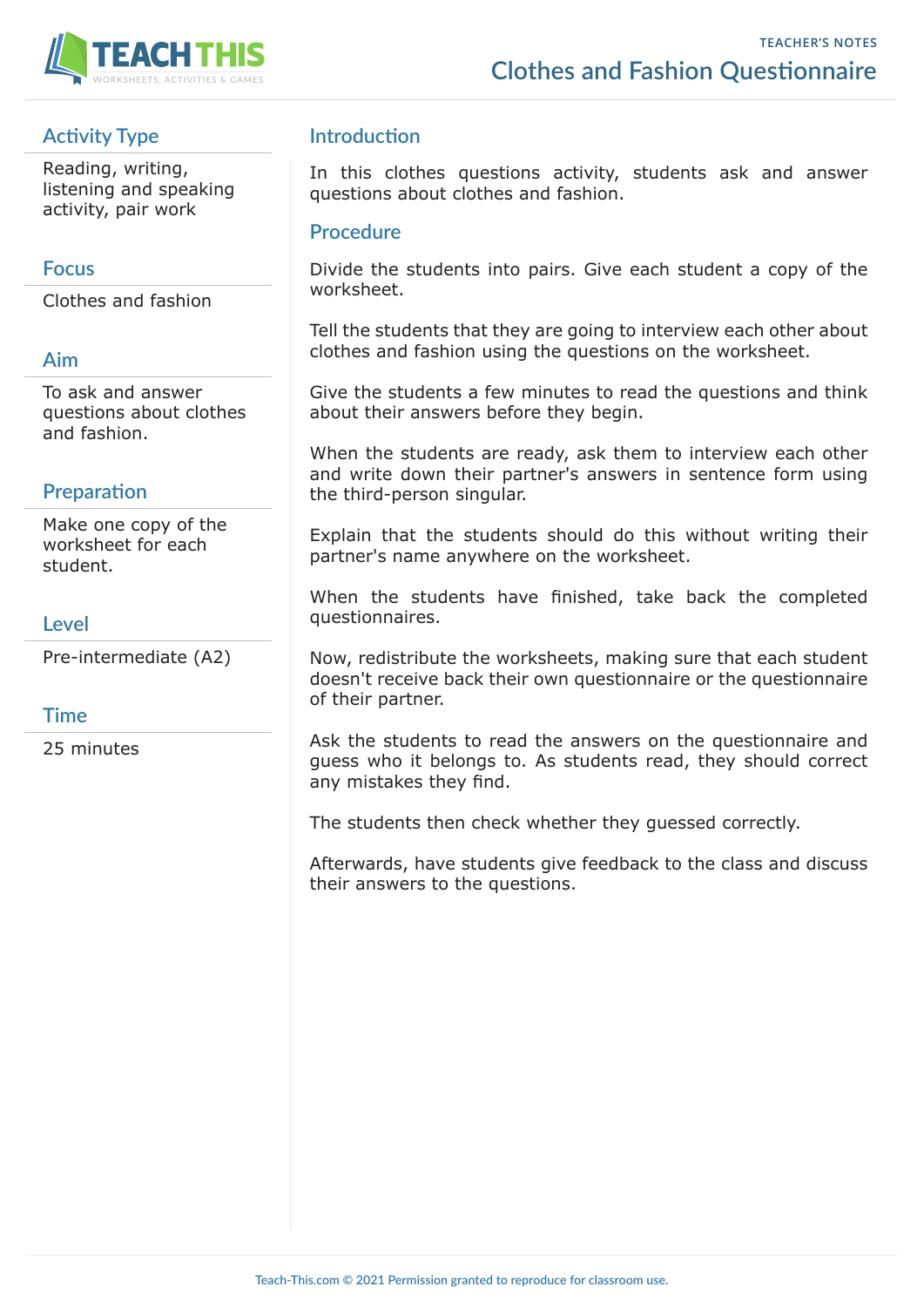

# **Activity Type**

Reading, writing, listening and speaking activity, pair work

### **Focus**

Clothes and fashion

#### **Aim**

To ask and answer questions about clothes and fashion.

## **Preparation**

Make one copy of the worksheet for each student.

#### **Level**

Pre-intermediate (A2)

#### **Time**

25 minutes

## **Introduction**

In this clothes questions activity, students ask and answer questions about clothes and fashion.

#### **Procedure**

Divide the students into pairs. Give each student a copy of the worksheet.

Tell the students that they are going to interview each other about clothes and fashion using the questions on the worksheet.

Give the students a few minutes to read the questions and think about their answers before they begin.

When the students are ready, ask them to interview each other and write down their partner's answers in sentence form using the third-person singular.

Explain that the students should do this without writing their partner's name anywhere on the worksheet.

When the students have finished, take back the completed questionnaires.

Now, redistribute the worksheets, making sure that each student doesn't receive back their own questionnaire or the questionnaire of their partner.

Ask the students to read the answers on the questionnaire and guess who it belongs to. As students read, they should correct any mistakes they find.

The students then check whether they guessed correctly.

Afterwards, have students give feedback to the class and discuss their answers to the questions.